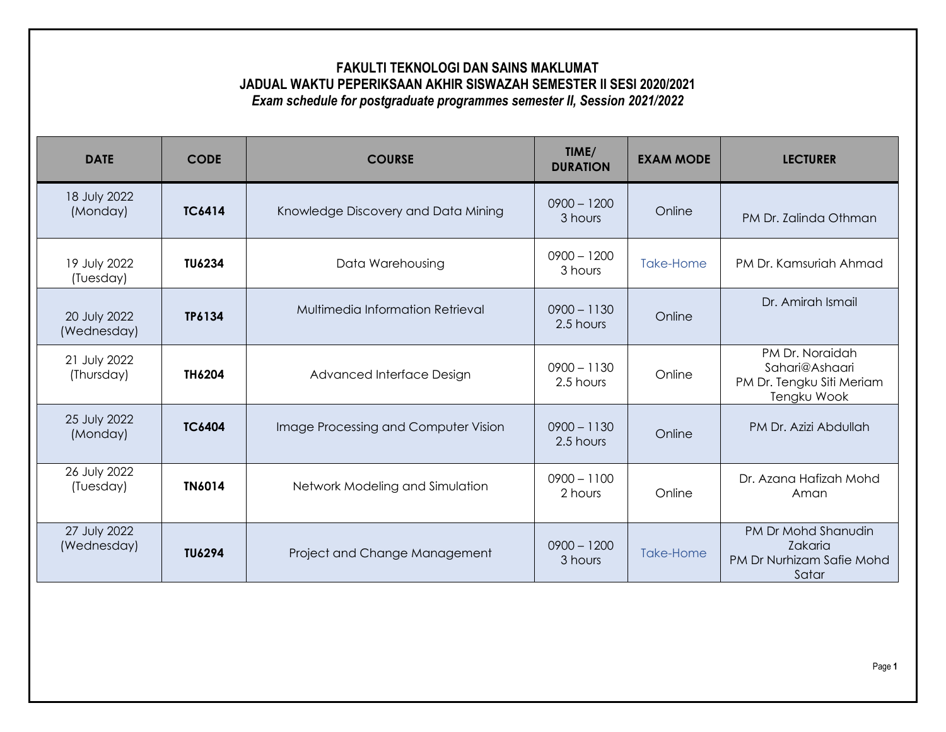## **FAKULTI TEKNOLOGI DAN SAINS MAKLUMAT JADUAL WAKTU PEPERIKSAAN AKHIR SISWAZAH SEMESTER II SESI 2020/2021** *Exam schedule for postgraduate programmes semester II, Session 2021/2022*

| <b>DATE</b>                 | <b>CODE</b>   | <b>COURSE</b>                        | TIME/<br><b>DURATION</b>   | <b>EXAM MODE</b> | <b>LECTURER</b>                                                               |
|-----------------------------|---------------|--------------------------------------|----------------------------|------------------|-------------------------------------------------------------------------------|
| 18 July 2022<br>(Monday)    | <b>TC6414</b> | Knowledge Discovery and Data Mining  | $0900 - 1200$<br>3 hours   | Online           | PM Dr. Zalinda Othman                                                         |
| 19 July 2022<br>(Tuesday)   | <b>TU6234</b> | Data Warehousing                     | $0900 - 1200$<br>3 hours   | Take-Home        | PM Dr. Kamsuriah Ahmad                                                        |
| 20 July 2022<br>(Wednesday) | TP6134        | Multimedia Information Retrieval     | $0900 - 1130$<br>2.5 hours | Online           | Dr. Amirah Ismail                                                             |
| 21 July 2022<br>(Thursday)  | TH6204        | Advanced Interface Design            | $0900 - 1130$<br>2.5 hours | Online           | PM Dr. Noraidah<br>Sahari@Ashaari<br>PM Dr. Tengku Siti Meriam<br>Tengku Wook |
| 25 July 2022<br>(Monday)    | <b>TC6404</b> | Image Processing and Computer Vision | $0900 - 1130$<br>2.5 hours | Online           | PM Dr. Azizi Abdullah                                                         |
| 26 July 2022<br>(Tuesday)   | <b>TN6014</b> | Network Modeling and Simulation      | $0900 - 1100$<br>2 hours   | Online           | Dr. Azana Hafizah Mohd<br>Aman                                                |
| 27 July 2022<br>(Wednesday) | <b>TU6294</b> | Project and Change Management        | $0900 - 1200$<br>3 hours   | Take-Home        | PM Dr Mohd Shanudin<br>Zakaria<br>PM Dr Nurhizam Safie Mohd<br>Satar          |